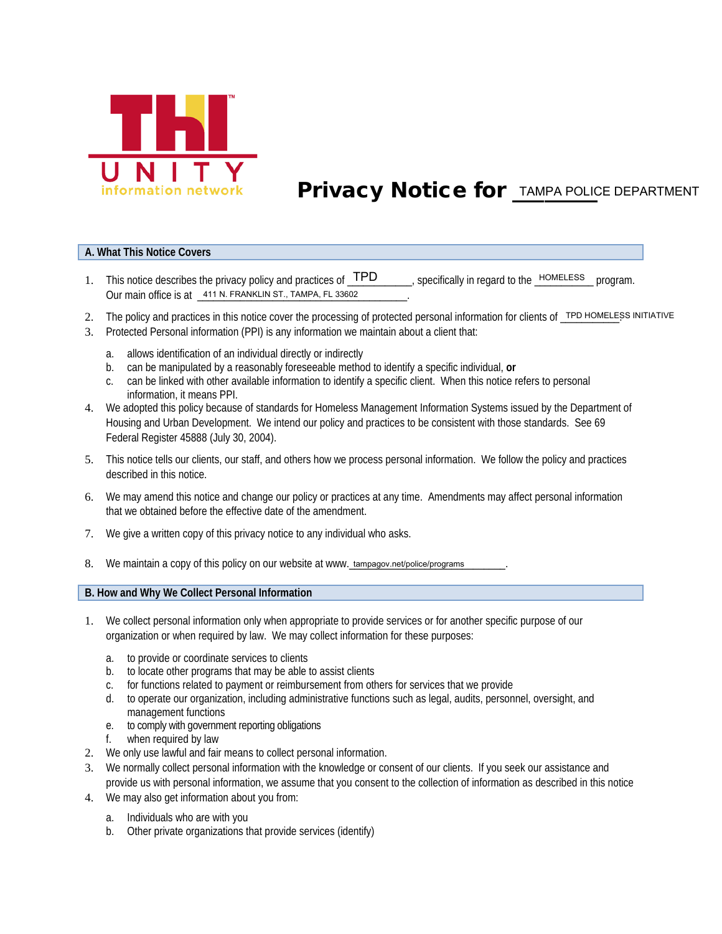

# **Privacy Notice for <b>TAMPA POLICE DEPARTMENT**

#### **A. What This Notice Covers**

- 1. This notice describes the privacy policy and practices of  $TPD$  specifically in regard to the  $\frac{HOMELESS}{P}$  program. Our main office is at  $\frac{411 \text{ N.}$  FRANKLIN ST., TAMPA, FL 33602 , specifically in regard to the HOMELESS
- 2. The policy and practices in this notice cover the processing of protected personal information for clients of \_TPD HOMELESS INITIATIVE
- 3. Protected Personal information (PPI) is any information we maintain about a client that:
	- a. allows identification of an individual directly or indirectly
	- b. can be manipulated by a reasonably foreseeable method to identify a specific individual, **or**
	- c. can be linked with other available information to identify a specific client. When this notice refers to personal information, it means PPI.
- 4. We adopted this policy because of standards for Homeless Management Information Systems issued by the Department of Housing and Urban Development. We intend our policy and practices to be consistent with those standards. See 69 Federal Register 45888 (July 30, 2004).
- 5. This notice tells our clients, our staff, and others how we process personal information. We follow the policy and practices described in this notice.
- 6. We may amend this notice and change our policy or practices at any time. Amendments may affect personal information that we obtained before the effective date of the amendment.
- 7. We give a written copy of this privacy notice to any individual who asks.
- 8. We maintain a copy of this policy on our website at www. tampagov.net/police/programs \_\_\_\_\_\_\_.

**B. How and Why We Collect Personal Information**

- 1. We collect personal information only when appropriate to provide services or for another specific purpose of our organization or when required by law. We may collect information for these purposes:
	- a. to provide or coordinate services to clients
	- b. to locate other programs that may be able to assist clients
	- c. for functions related to payment or reimbursement from others for services that we provide
	- d. to operate our organization, including administrative functions such as legal, audits, personnel, oversight, and management functions
	- e. to comply with government reporting obligations
	- f. when required by law
- 2. We only use lawful and fair means to collect personal information.
- 3. We normally collect personal information with the knowledge or consent of our clients. If you seek our assistance and provide us with personal information, we assume that you consent to the collection of information as described in this notice
- 4. We may also get information about you from:
	- a. Individuals who are with you
	- b. Other private organizations that provide services (identify)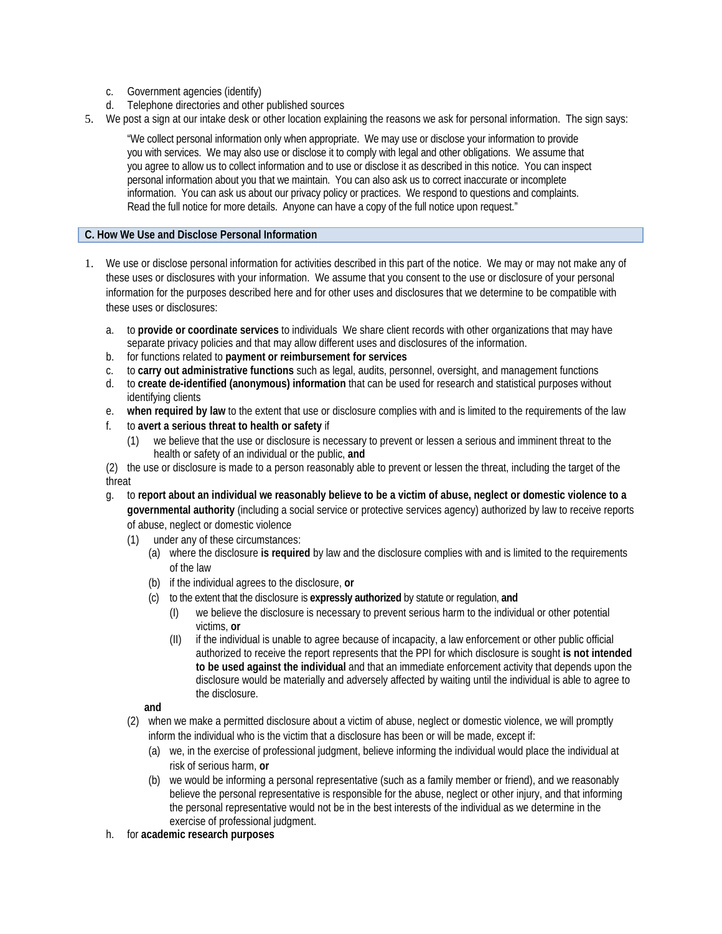- c. Government agencies (identify)
- d. Telephone directories and other published sources
- 5. We post a sign at our intake desk or other location explaining the reasons we ask for personal information. The sign says:

"We collect personal information only when appropriate. We may use or disclose your information to provide you with services. We may also use or disclose it to comply with legal and other obligations. We assume that you agree to allow us to collect information and to use or disclose it as described in this notice. You can inspect personal information about you that we maintain. You can also ask us to correct inaccurate or incomplete information. You can ask us about our privacy policy or practices. We respond to questions and complaints. Read the full notice for more details. Anyone can have a copy of the full notice upon request."

## **C. How We Use and Disclose Personal Information**

- 1. We use or disclose personal information for activities described in this part of the notice. We may or may not make any of these uses or disclosures with your information. We assume that you consent to the use or disclosure of your personal information for the purposes described here and for other uses and disclosures that we determine to be compatible with these uses or disclosures:
	- a. to **provide or coordinate services** to individuals We share client records with other organizations that may have separate privacy policies and that may allow different uses and disclosures of the information.
	- b. for functions related to **payment or reimbursement for services**
	- c. to **carry out administrative functions** such as legal, audits, personnel, oversight, and management functions
	- d. to **create de-identified (anonymous) information** that can be used for research and statistical purposes without identifying clients
	- e. **when required by law** to the extent that use or disclosure complies with and is limited to the requirements of the law
	- f. to **avert a serious threat to health or safety** if
		- (1) we believe that the use or disclosure is necessary to prevent or lessen a serious and imminent threat to the health or safety of an individual or the public, **and**

(2) the use or disclosure is made to a person reasonably able to prevent or lessen the threat, including the target of the threat

- g. to **report about an individual we reasonably believe to be a victim of abuse, neglect or domestic violence to a governmental authority** (including a social service or protective services agency) authorized by law to receive reports of abuse, neglect or domestic violence
	- (1) under any of these circumstances:
		- (a) where the disclosure **is required** by law and the disclosure complies with and is limited to the requirements of the law
		- (b) if the individual agrees to the disclosure, **or**
		- (c) to the extent that the disclosure is **expressly authorized** by statute or regulation, **and** 
			- (I) we believe the disclosure is necessary to prevent serious harm to the individual or other potential victims, **or**
			- (II) if the individual is unable to agree because of incapacity, a law enforcement or other public official authorized to receive the report represents that the PPI for which disclosure is sought **is not intended to be used against the individual** and that an immediate enforcement activity that depends upon the disclosure would be materially and adversely affected by waiting until the individual is able to agree to the disclosure.
		- **and**
	- (2) when we make a permitted disclosure about a victim of abuse, neglect or domestic violence, we will promptly inform the individual who is the victim that a disclosure has been or will be made, except if:
		- (a) we, in the exercise of professional judgment, believe informing the individual would place the individual at risk of serious harm, **or**
		- (b) we would be informing a personal representative (such as a family member or friend), and we reasonably believe the personal representative is responsible for the abuse, neglect or other injury, and that informing the personal representative would not be in the best interests of the individual as we determine in the exercise of professional judgment.
- h. for **academic research purposes**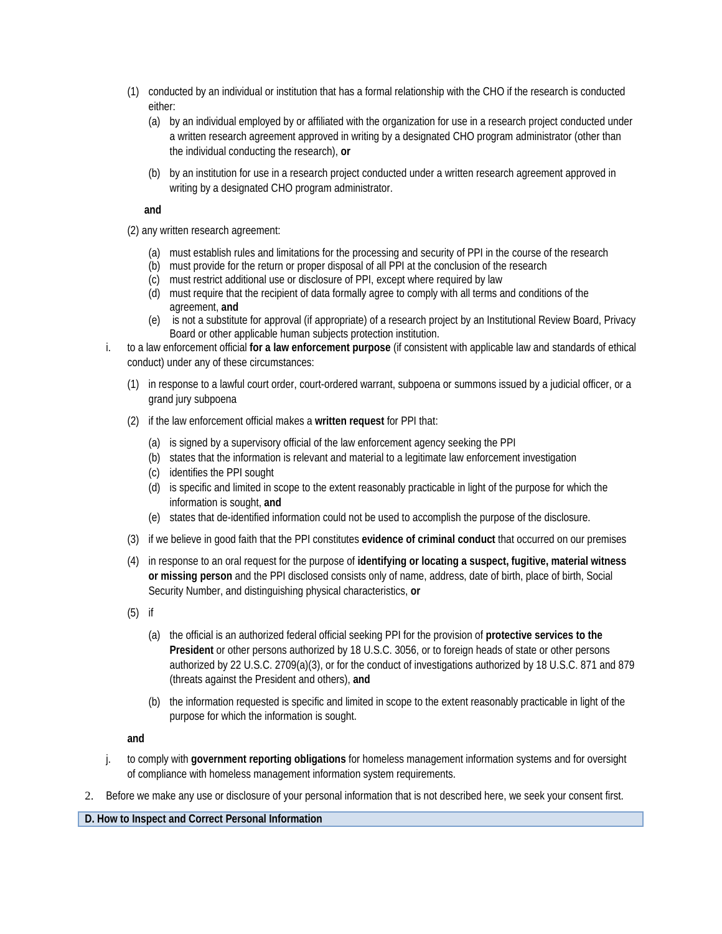- (1) conducted by an individual or institution that has a formal relationship with the CHO if the research is conducted either:
	- (a) by an individual employed by or affiliated with the organization for use in a research project conducted under a written research agreement approved in writing by a designated CHO program administrator (other than the individual conducting the research), **or**
	- (b) by an institution for use in a research project conducted under a written research agreement approved in writing by a designated CHO program administrator.

## **and**

(2) any written research agreement:

- (a) must establish rules and limitations for the processing and security of PPI in the course of the research
- (b) must provide for the return or proper disposal of all PPI at the conclusion of the research
- (c) must restrict additional use or disclosure of PPI, except where required by law
- (d) must require that the recipient of data formally agree to comply with all terms and conditions of the agreement, **and**
- (e) is not a substitute for approval (if appropriate) of a research project by an Institutional Review Board, Privacy Board or other applicable human subjects protection institution.
- i. to a law enforcement official **for a law enforcement purpose** (if consistent with applicable law and standards of ethical conduct) under any of these circumstances:
	- (1) in response to a lawful court order, court-ordered warrant, subpoena or summons issued by a judicial officer, or a grand jury subpoena
	- (2) if the law enforcement official makes a **written request** for PPI that:
		- (a) is signed by a supervisory official of the law enforcement agency seeking the PPI
		- (b) states that the information is relevant and material to a legitimate law enforcement investigation
		- (c) identifies the PPI sought
		- (d) is specific and limited in scope to the extent reasonably practicable in light of the purpose for which the information is sought, **and**
		- (e) states that de-identified information could not be used to accomplish the purpose of the disclosure.
	- (3) if we believe in good faith that the PPI constitutes **evidence of criminal conduct** that occurred on our premises
	- (4) in response to an oral request for the purpose of **identifying or locating a suspect, fugitive, material witness or missing person** and the PPI disclosed consists only of name, address, date of birth, place of birth, Social Security Number, and distinguishing physical characteristics, **or**
	- (5) if
		- (a) the official is an authorized federal official seeking PPI for the provision of **protective services to the President** or other persons authorized by 18 U.S.C. 3056, or to foreign heads of state or other persons authorized by 22 U.S.C. 2709(a)(3), or for the conduct of investigations authorized by 18 U.S.C. 871 and 879 (threats against the President and others), **and**
		- (b) the information requested is specific and limited in scope to the extent reasonably practicable in light of the purpose for which the information is sought.

**and**

- j. to comply with **government reporting obligations** for homeless management information systems and for oversight of compliance with homeless management information system requirements.
- 2. Before we make any use or disclosure of your personal information that is not described here, we seek your consent first.

**D. How to Inspect and Correct Personal Information**